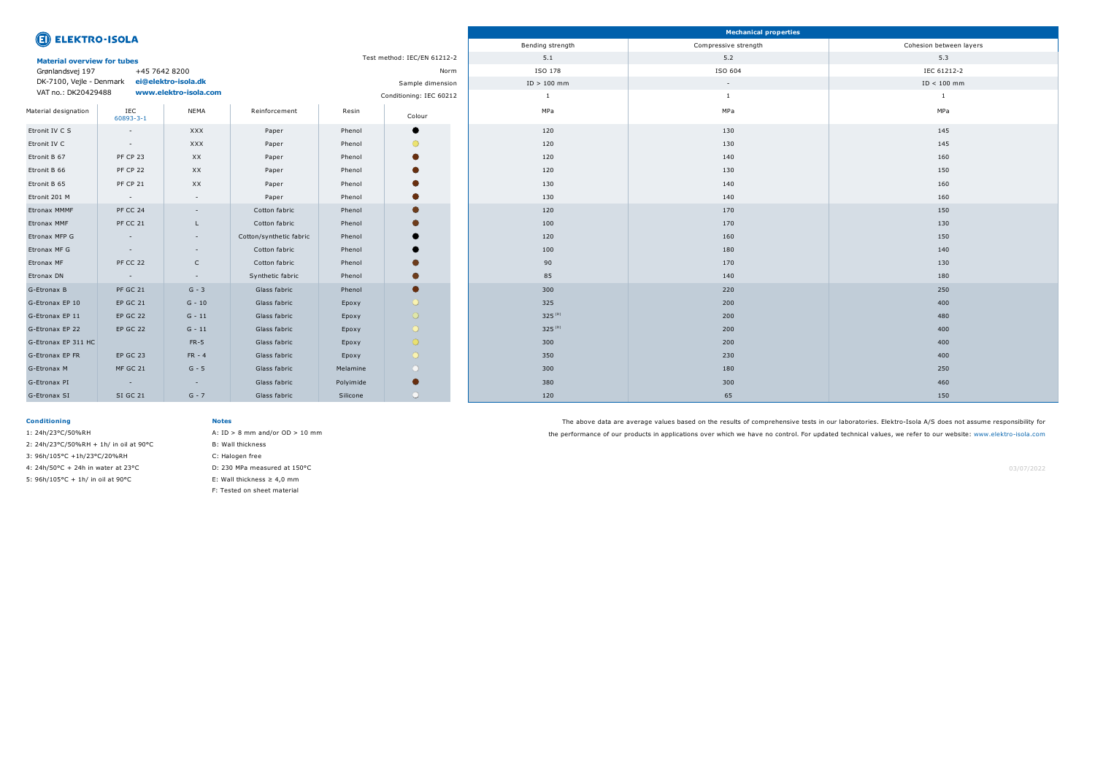A:  $ID > 8$  mm and/or  $OD > 10$  mm B: Wall thickness C: Halogen free D: 230 MPa measured at 150°C

| <b>ELEKTRO-ISOLA</b>                                                    |                  |                     |                         |           |                             | <b>Mechanical properties</b> |                      |                         |  |  |  |  |
|-------------------------------------------------------------------------|------------------|---------------------|-------------------------|-----------|-----------------------------|------------------------------|----------------------|-------------------------|--|--|--|--|
|                                                                         |                  |                     |                         |           |                             | Bending strength             | Compressive strength | Cohesion between layers |  |  |  |  |
| <b>Material overview for tubes</b>                                      |                  |                     |                         |           | Test method: IEC/EN 61212-2 | 5.1                          | 5.2                  | 5.3                     |  |  |  |  |
| Grønlandsvej 197                                                        | +45 7642 8200    |                     |                         |           | Norm                        | ISO 178                      | ISO 604              | IEC 61212-2             |  |  |  |  |
| DK-7100, Vejle - Denmark                                                |                  | ei@elektro-isola.dk |                         |           | Sample dimension            | $ID > 100$ mm                | $\sim$               | $ID < 100$ mm           |  |  |  |  |
| VAT no.: DK20429488<br>www.elektro-isola.com<br>Conditioning: IEC 60212 |                  |                     |                         |           |                             | $\mathbf{1}$                 | $\mathbf{1}$         | $\mathbf{1}$            |  |  |  |  |
| Material designation                                                    | IEC<br>60893-3-1 | <b>NEMA</b>         | Reinforcement           | Resin     | Colour                      | MPa                          | MPa                  | MPa                     |  |  |  |  |
| Etronit IV C S                                                          | $\sim$           | XXX                 | Paper                   | Phenol    |                             | 120                          | 130                  | 145                     |  |  |  |  |
| Etronit IV C                                                            | $\sim$           | XXX                 | Paper                   | Phenol    | $\bigcirc$                  | 120                          | 130                  | 145                     |  |  |  |  |
| Etronit B 67                                                            | <b>PF CP 23</b>  | XX                  | Paper                   | Phenol    | $\bullet$                   | 120                          | 140                  | 160                     |  |  |  |  |
| Etronit B 66                                                            | <b>PF CP 22</b>  | XX                  | Paper                   | Phenol    |                             | 120                          | 130                  | 150                     |  |  |  |  |
| Etronit B 65                                                            | <b>PF CP 21</b>  | XX                  | Paper                   | Phenol    |                             | 130                          | 140                  | 160                     |  |  |  |  |
| Etronit 201 M                                                           | $\sim$           | $\sim$              | Paper                   | Phenol    | O                           | 130                          | 140                  | 160                     |  |  |  |  |
| Etronax MMMF                                                            | PF CC 24         | $\sim$ $-$          | Cotton fabric           | Phenol    |                             | 120                          | 170                  | 150                     |  |  |  |  |
| Etronax MMF                                                             | PF CC 21         | $\mathsf{L}$        | Cotton fabric           | Phenol    |                             | 100                          | 170                  | 130                     |  |  |  |  |
| Etronax MFP G                                                           | $\sim$           | $\sim$              | Cotton/synthetic fabric | Phenol    |                             | 120                          | 160                  | 150                     |  |  |  |  |
| Etronax MF G                                                            | $\sim$           | $\sim$              | Cotton fabric           | Phenol    |                             | 100                          | 180                  | 140                     |  |  |  |  |
| Etronax MF                                                              | PF CC 22         | $\mathsf{C}$        | Cotton fabric           | Phenol    |                             | 90                           | 170                  | 130                     |  |  |  |  |
| Etronax DN                                                              | $\sim$           | $\sim$              | Synthetic fabric        | Phenol    | O                           | 85                           | 140                  | 180                     |  |  |  |  |
| G-Etronax B                                                             | <b>PF GC 21</b>  | $G - 3$             | Glass fabric            | Phenol    | $\bullet$                   | 300                          | 220                  | 250                     |  |  |  |  |
| G-Etronax EP 10                                                         | <b>EP GC 21</b>  | $G - 10$            | Glass fabric            | Epoxy     | $\circ$                     | 325                          | 200                  | 400                     |  |  |  |  |
| G-Etronax EP 11                                                         | EP GC 22         | $G - 11$            | Glass fabric            | Epoxy     | $\circ$                     | $325^{(D)}$                  | 200                  | 480                     |  |  |  |  |
| G-Etronax EP 22                                                         | EP GC 22         | $G - 11$            | Glass fabric            | Epoxy     | $\overline{O}$              | $325^{(D)}$                  | 200                  | 400                     |  |  |  |  |
| G-Etronax EP 311 HC                                                     |                  | $FR-5$              | Glass fabric            | Epoxy     | $\circ$                     | 300                          | 200                  | 400                     |  |  |  |  |
| G-Etronax EP FR                                                         | EP GC 23         | $FR - 4$            | Glass fabric            | Epoxy     | $\circ$                     | 350                          | 230                  | 400                     |  |  |  |  |
| G-Etronax M                                                             | MF GC 21         | $G - 5$             | Glass fabric            | Melamine  | $\circ$                     | 300                          | 180                  | 250                     |  |  |  |  |
| G-Etronax PI                                                            | $\sim$ $-$       | $\sim$ $ \sim$      | Glass fabric            | Polyimide | $\bullet$                   | 380                          | 300                  | 460                     |  |  |  |  |
| G-Etronax SI                                                            | SI GC 21         | $G - 7$             | Glass fabric            | Silicone  | $\circ$                     | 120                          | 65                   | 150                     |  |  |  |  |

# **Conditioning**

1: 24h/23°C/50%RH 2: 24h/23°C/50%RH + 1h/ in oil at 90°C 3: 96h/105°C +1h/23°C/20%RH 4: 24h/50°C + 24h in water at 23°C 5: 96h/105°C + 1h/ in oil at 90°C

#### **Notes**

E: Wall thickness ≥ 4,0 mm

F: Tested on sheet material

The above data are average values based on the results of comprehensive tests in our laboratories. Elektro-Isola A/S does not assume responsibility for the performance of our products in applications over which we have no control. For updated technical values, we refer to our website: www.elektro-isola.com

03/07/2022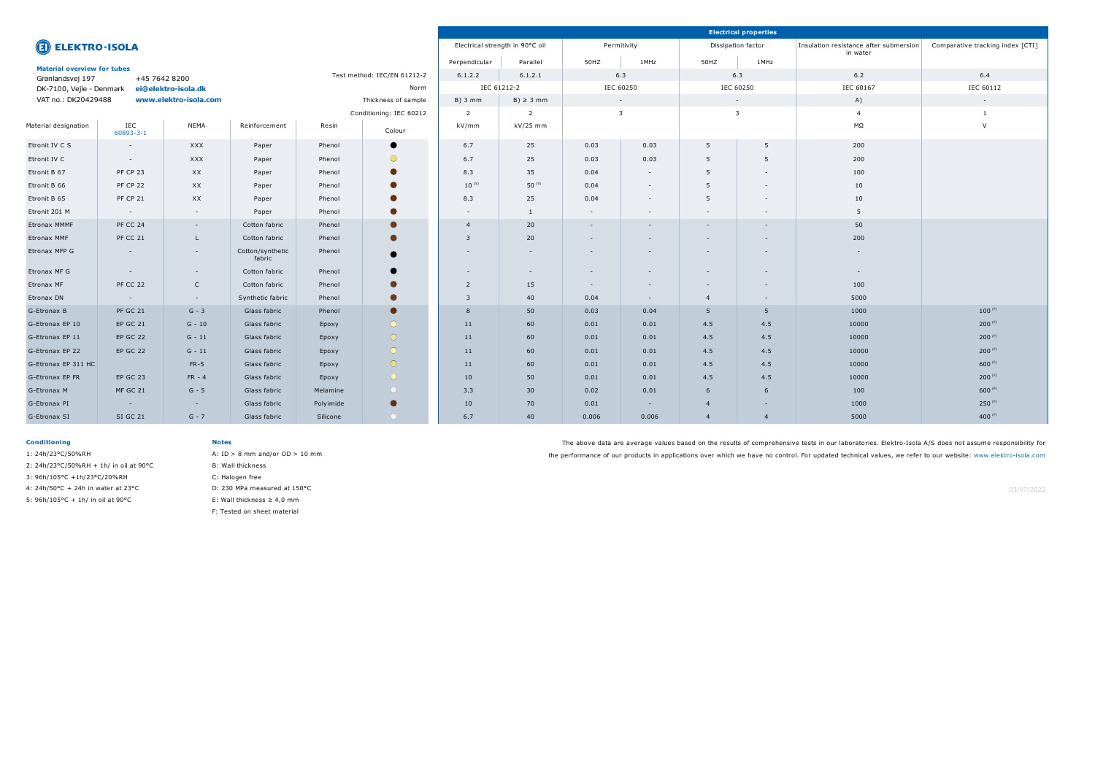|                                                                                                        |                  |              |                            |           |                | <b>Electrical properties</b> |                                                |                   |                          |                    |                          |                                                    |                                  |  |
|--------------------------------------------------------------------------------------------------------|------------------|--------------|----------------------------|-----------|----------------|------------------------------|------------------------------------------------|-------------------|--------------------------|--------------------|--------------------------|----------------------------------------------------|----------------------------------|--|
| <b>ELEKTRO-ISOLA</b>                                                                                   |                  |              |                            |           |                |                              | Electrical strength in 90°C oil<br>Permitivity |                   |                          | Dissipation factor |                          | Insulation resistance after submersion<br>in water | Comparative tracking index [CTI] |  |
| <b>Material overview for tubes</b><br>Test method: IEC/EN 61212-2<br>+45 7642 8200<br>Grønlandsvej 197 |                  |              |                            |           |                | Perpendicular                | Parallel                                       | 50HZ              | 1MHz                     | 50HZ               | 1MHz                     |                                                    |                                  |  |
|                                                                                                        |                  |              |                            |           |                | 6.1.2.2<br>6.1.2.1           |                                                | 6.3               |                          | 6.3                |                          | 6.2                                                | 6.4                              |  |
| Norm<br>ei@elektro-isola.dk<br>DK-7100, Vejle - Denmark                                                |                  |              |                            |           |                |                              | IEC 61212-2                                    |                   | IEC 60250                |                    | IEC 60250                | IEC 60167                                          | IEC 60112                        |  |
| www.elektro-isola.com<br>VAT no.: DK20429488<br>Thickness of sample                                    |                  |              |                            |           |                | $B)$ 3 mm                    | $B) \geq 3$ mm                                 |                   | $\sim$                   | $\sim$             |                          | A)                                                 | $\sim$                           |  |
| Conditioning: IEC 60212                                                                                |                  |              |                            |           |                | 2                            | 2                                              |                   | $\overline{3}$           |                    | $\overline{3}$           | $\overline{a}$                                     | 1                                |  |
| Material designation                                                                                   | IEC<br>60893-3-1 | <b>NEMA</b>  | Reinforcement              | Resin     | Colour         | kV/mm                        | $kV/25$ mm                                     |                   |                          |                    |                          | ΜΩ                                                 | $\vee$                           |  |
| Etronit IV C S                                                                                         | $\sim$           | XXX          | Paper                      | Phenol    | c              | 6.7                          | 25                                             | 0.03              | 0.03                     | 5                  | 5                        | 200                                                |                                  |  |
| Etronit IV C                                                                                           | $\sim$           | XXX          | Paper                      | Phenol    | $\circ$        | 6.7                          | 25                                             | 0.03<br>0.03<br>5 |                          |                    | 5                        | 200                                                |                                  |  |
| Etronit B 67                                                                                           | PF CP 23         | XX           | Paper                      | Phenol    | $\blacksquare$ | 8.3                          | 35                                             | 0.04<br>$\sim$    |                          | 5                  | $\sim$                   | 100                                                |                                  |  |
| Etronit B 66                                                                                           | PF CP 22         | XX           | Paper                      | Phenol    |                | $10^{(5)}$                   | $50^{(5)}$                                     | 0.04<br>$-$       |                          | 5                  | $\sim$                   | 10                                                 |                                  |  |
| Etronit B 65                                                                                           | PF CP 21         | XX           | Paper                      | Phenol    | $\bullet$      | 8.3                          | 25                                             | 0.04<br>$-$       |                          | 5                  | $\overline{\phantom{a}}$ | 10                                                 |                                  |  |
| Etronit 201 M                                                                                          | $\sim$           | $\sim$       | Paper                      | Phenol    | $\bullet$      | $\sim$                       | 1                                              | $\sim$            | $\overline{\phantom{a}}$ |                    | $\sim$                   | 5                                                  |                                  |  |
| <b>Etronax MMMF</b>                                                                                    | PF CC 24         | $\sim$       | Cotton fabric              | Phenol    | $\bullet$      | $\overline{4}$               | 20                                             | $\sim$            | $\sim$                   | $\sim$             | $\sim$                   | 50                                                 |                                  |  |
| Etronax MMF                                                                                            | <b>PF CC 21</b>  | L.           | Cotton fabric              | Phenol    | $\bullet$      | $\overline{3}$               | 20                                             | $\sim$            | $\overline{\phantom{a}}$ |                    | $\overline{\phantom{a}}$ | 200                                                |                                  |  |
| Etronax MFP G                                                                                          | $\sim$           | $\sim$       | Cotton/synthetic<br>fabric | Phenol    | C              | $\sim$                       | $\sim$                                         | $\sim$            | $\overline{\phantom{a}}$ | $\sim$             | $\sim$                   | $\sim$                                             |                                  |  |
| Etronax MF G                                                                                           | $\sim$           | $\sim$       | Cotton fabric              | Phenol    | c              | $\sim$                       | $\sim$                                         | $\sim$            | $\overline{\phantom{a}}$ | $\sim$             | $\overline{\phantom{a}}$ | $\sim$                                             |                                  |  |
| Etronax MF                                                                                             | PF CC 22         | $\mathsf{C}$ | Cotton fabric              | Phenol    | $\blacksquare$ | $\overline{2}$               | 15                                             | $\sim$            | $\sim$                   | $\sim$             | $\sim$                   | 100                                                |                                  |  |
| Etronax DN                                                                                             | $\sim$           | $\sim$       | Synthetic fabric           | Phenol    | $\bullet$      | $\overline{3}$               | 40                                             | 0.04              | $\sim$                   | $\overline{4}$     | $\sim$                   | 5000                                               |                                  |  |
| G-Etronax B                                                                                            | <b>PF GC 21</b>  | $G - 3$      | Glass fabric               | Phenol    | $\bullet$      | 8                            | 50                                             | 0.03              | 0.04                     | 5                  | $5\overline{5}$          | 1000                                               | $100^{(F)}$                      |  |
| G-Etronax EP 10                                                                                        | <b>EP GC 21</b>  | $G - 10$     | Glass fabric               | Epoxy     | $\circ$        | 11                           | 60                                             | 0.01              | 0.01                     | 4.5                | 4.5                      | 10000                                              | $200$ <sup>(F)</sup>             |  |
| G-Etronax EP 11                                                                                        | EP GC 22         | $G - 11$     | Glass fabric               | Epoxy     | $\circ$        | 11                           | 60                                             | 0.01              | 0.01                     | 4.5                | 4.5                      | 10000                                              | $200^{(F)}$                      |  |
| G-Etronax EP 22                                                                                        | EP GC 22         | $G - 11$     | Glass fabric               | Epoxy     | $\circ$        | 11                           | 60                                             | 0.01              | 0.01                     | 4.5                | 4.5                      | 10000                                              | $200^{(F)}$                      |  |
| G-Etronax EP 311 HC                                                                                    |                  | $FR-5$       | Glass fabric               | Epoxy     | $\bigcirc$     | 11                           | 60                                             | 0.01              | 0.01                     | 4.5                | 4.5                      | 10000                                              | 600 <sup>(F)</sup>               |  |
| <b>G-Etronax EP FR</b>                                                                                 | EP GC 23         | $FR - 4$     | Glass fabric               | Epoxy     | $\circ$        | 10                           | 50                                             | 0.01              | 0.01                     | 4.5                | 4.5                      | 10000                                              | $200^{(F)}$                      |  |
| <b>G-Etronax M</b>                                                                                     | MF GC 21         | $G - 5$      | Glass fabric               | Melamine  | $\circ$        | 3.3                          | 30 <sup>°</sup>                                | 0.02              | 0.01                     | 6                  | 6                        | 100                                                | 600 <sup>(F)</sup>               |  |
| G-Etronax PI                                                                                           | $\sim$           | $\sim$       | Glass fabric               | Polyimide | $\bullet$      | 10                           | 70                                             | 0.01              | $\sim$                   | $\overline{4}$     | $\overline{\phantom{a}}$ | 1000                                               | 250 <sup>(F)</sup>               |  |
| G-Etronax SI                                                                                           | SI GC 21         | $G - 7$      | Glass fabric               | Silicone  | $\circ$        | 6.7                          | 40                                             | 0.006             | 0.006                    | $\overline{4}$     | $\overline{4}$           | 5000                                               | 400 $(P)$                        |  |

## **Conditioning**

- 1: 24h/23°C/50%RH
- 2: 24h/23°C/50%RH + 1h/ in oil at 90°C
- 3: 96h/105°C +1h/23°C/20%RH
- 4: 24h/50°C + 24h in water at 23°C
- 5: 96h/105°C + 1h/ in oil at 90°C

## **Notes**

A:  $ID > 8$  mm and/or  $OD > 10$  mm

B: Wall thickness

C: Halogen free

D: 230 MPa measured at 150°C

E: Wall thickness  $\geq 4.0$  mm

F: Tested on sheet material

The above data are average values based on the results of comprehensive tests in our laboratories. Elektro-Isola A/S does not assume responsibility for the performance of our products in applications over which we have no control. For updated technical values, we refer to our website: www.elektro-isola.com

03/07/2022